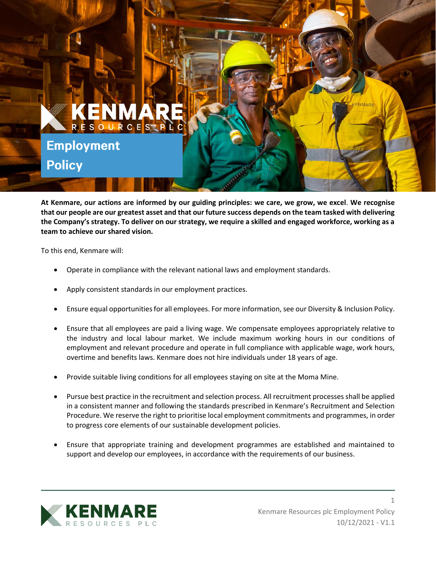

**At Kenmare, our actions are informed by our guiding principles: we care, we grow, we excel**. **We recognise that our people are our greatest asset and that our future success depends on the team tasked with delivering the Company's strategy. To deliver on our strategy, we require a skilled and engaged workforce, working as a team to achieve our shared vision.**

To this end, Kenmare will:

- Operate in compliance with the relevant national laws and employment standards.
- Apply consistent standards in our employment practices.
- Ensure equal opportunities for all employees. For more information, see our Diversity & Inclusion Policy.
- Ensure that all employees are paid a living wage. We compensate employees appropriately relative to the industry and local labour market. We include maximum working hours in our conditions of employment and relevant procedure and operate in full compliance with applicable wage, work hours, overtime and benefits laws. Kenmare does not hire individuals under 18 years of age.
- Provide suitable living conditions for all employees staying on site at the Moma Mine.
- Pursue best practice in the recruitment and selection process. All recruitment processes shall be applied in a consistent manner and following the standards prescribed in Kenmare's Recruitment and Selection Procedure. We reserve the right to prioritise local employment commitments and programmes, in order to progress core elements of our sustainable development policies.
- Ensure that appropriate training and development programmes are established and maintained to support and develop our employees, in accordance with the requirements of our business.



1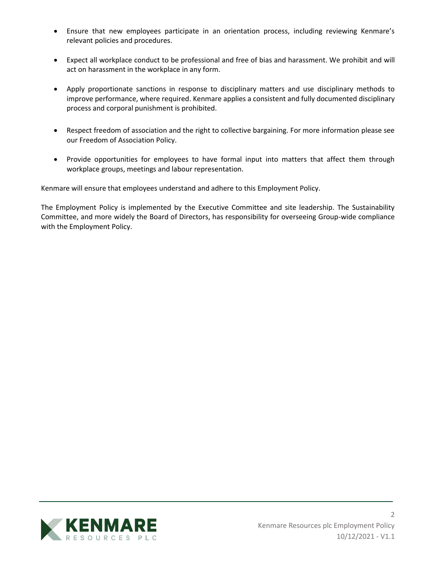- Ensure that new employees participate in an orientation process, including reviewing Kenmare's relevant policies and procedures.
- Expect all workplace conduct to be professional and free of bias and harassment. We prohibit and will act on harassment in the workplace in any form.
- Apply proportionate sanctions in response to disciplinary matters and use disciplinary methods to improve performance, where required. Kenmare applies a consistent and fully documented disciplinary process and corporal punishment is prohibited.
- Respect freedom of association and the right to collective bargaining. For more information please see our Freedom of Association Policy.
- Provide opportunities for employees to have formal input into matters that affect them through workplace groups, meetings and labour representation.

Kenmare will ensure that employees understand and adhere to this Employment Policy.

The Employment Policy is implemented by the Executive Committee and site leadership. The Sustainability Committee, and more widely the Board of Directors, has responsibility for overseeing Group-wide compliance with the Employment Policy.

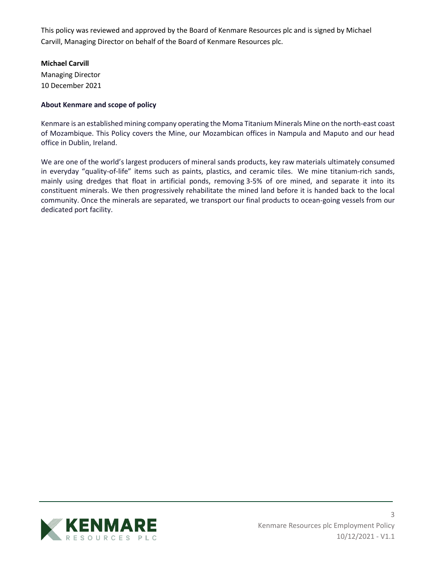This policy was reviewed and approved by the Board of Kenmare Resources plc and is signed by Michael Carvill, Managing Director on behalf of the Board of Kenmare Resources plc.

## **Michael Carvill**

Managing Director 10 December 2021

## **About Kenmare and scope of policy**

Kenmare is an established mining company operating the Moma Titanium Minerals Mine on the north-east coast of Mozambique. This Policy covers the Mine, our Mozambican offices in Nampula and Maputo and our head office in Dublin, Ireland.

We are one of the world's largest producers of mineral sands products, key raw materials ultimately consumed in everyday "quality-of-life" items such as paints, plastics, and ceramic tiles. We mine titanium-rich sands, mainly using dredges that float in artificial ponds, removing 3-5% of ore mined, and separate it into its constituent minerals. We then progressively rehabilitate the mined land before it is handed back to the local community. Once the minerals are separated, we transport our final products to ocean-going vessels from our dedicated port facility.